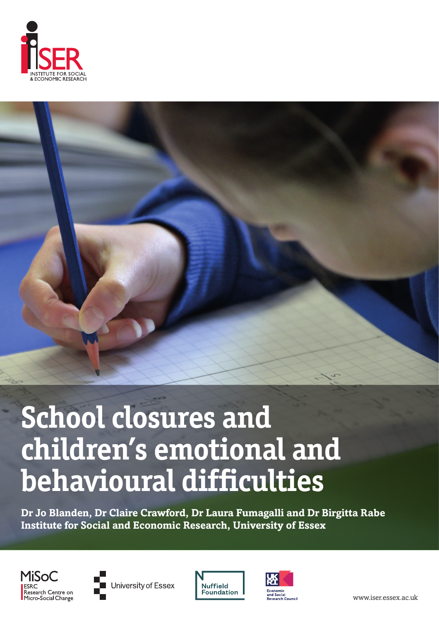

# **School closures and children's emotional and behavioural difficulties**

**Dr Jo Blanden, Dr Claire Crawford, Dr Laura Fumagalli and Dr Birgitta Rabe Institute for Social and Economic Research, University of Essex**







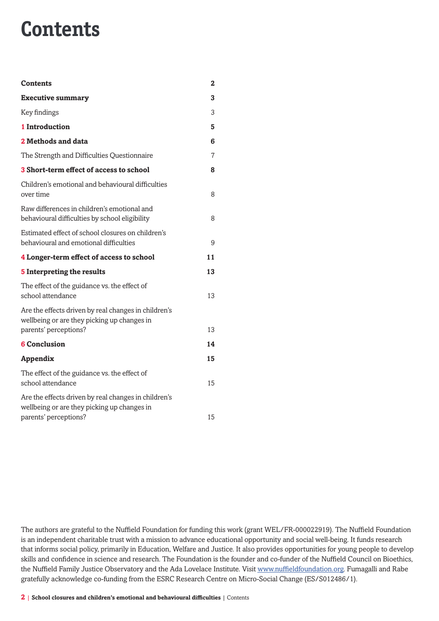## **Contents**

| <b>Contents</b>                                                                                     | 2              |
|-----------------------------------------------------------------------------------------------------|----------------|
| <b>Executive summary</b>                                                                            | 3              |
| Key findings                                                                                        | 3              |
| 1 Introduction                                                                                      | 5              |
| 2 Methods and data                                                                                  | 6              |
| The Strength and Difficulties Questionnaire                                                         | $\overline{7}$ |
| 3 Short-term effect of access to school                                                             | 8              |
| Children's emotional and behavioural difficulties<br>over time                                      | 8              |
| Raw differences in children's emotional and<br>behavioural difficulties by school eligibility       | 8              |
| Estimated effect of school closures on children's<br>behavioural and emotional difficulties         | 9              |
| 4 Longer-term effect of access to school                                                            | 11             |
| 5 Interpreting the results                                                                          | 13             |
| The effect of the guidance vs. the effect of<br>school attendance                                   | 13             |
| Are the effects driven by real changes in children's<br>wellbeing or are they picking up changes in |                |
| parents' perceptions?                                                                               | 13             |
| <b>6 Conclusion</b>                                                                                 | 14             |
| Appendix                                                                                            | 15             |
| The effect of the guidance vs. the effect of<br>school attendance                                   | 15             |
| Are the effects driven by real changes in children's<br>wellbeing or are they picking up changes in |                |
| parents' perceptions?                                                                               | 15             |

The authors are grateful to the Nuffield Foundation for funding this work (grant WEL/FR-000022919). The Nuffield Foundation is an independent charitable trust with a mission to advance educational opportunity and social well-being. It funds research that informs social policy, primarily in Education, Welfare and Justice. It also provides opportunities for young people to develop skills and confidence in science and research. The Foundation is the founder and co-funder of the Nuffield Council on Bioethics, the Nuffield Family Justice Observatory and the Ada Lovelace Institute. Visit [www.nuffieldfoundation.org.](https://www.nuffieldfoundation.org/) Fumagalli and Rabe gratefully acknowledge co-funding from the ESRC Research Centre on Micro-Social Change (ES/S012486/1).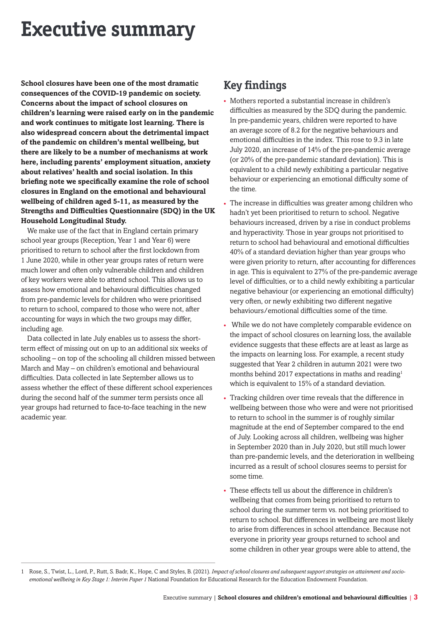## <span id="page-2-0"></span>**Executive summary**

**School closures have been one of the most dramatic consequences of the COVID-19 pandemic on society. Concerns about the impact of school closures on children's learning were raised early on in the pandemic and work continues to mitigate lost learning. There is also widespread concern about the detrimental impact of the pandemic on children's mental wellbeing, but there are likely to be a number of mechanisms at work here, including parents' employment situation, anxiety about relatives' health and social isolation. In this briefing note we specifically examine the role of school closures in England on the emotional and behavioural wellbeing of children aged 5-11, as measured by the Strengths and Difficulties Questionnaire (SDQ) in the UK Household Longitudinal Study.** 

We make use of the fact that in England certain primary school year groups (Reception, Year 1 and Year 6) were prioritised to return to school after the first lockdown from 1 June 2020, while in other year groups rates of return were much lower and often only vulnerable children and children of key workers were able to attend school. This allows us to assess how emotional and behavioural difficulties changed from pre-pandemic levels for children who were prioritised to return to school, compared to those who were not, after accounting for ways in which the two groups may differ, including age.

Data collected in late July enables us to assess the shortterm effect of missing out on up to an additional six weeks of schooling – on top of the schooling all children missed between March and May – on children's emotional and behavioural difficulties. Data collected in late September allows us to assess whether the effect of these different school experiences during the second half of the summer term persists once all year groups had returned to face-to-face teaching in the new academic year.

### **Key findings**

- Mothers reported a substantial increase in children's difficulties as measured by the SDQ during the pandemic. In pre-pandemic years, children were reported to have an average score of 8.2 for the negative behaviours and emotional difficulties in the index. This rose to 9.3 in late July 2020, an increase of 14% of the pre-pandemic average (or 20% of the pre-pandemic standard deviation). This is equivalent to a child newly exhibiting a particular negative behaviour or experiencing an emotional difficulty some of the time.
- The increase in difficulties was greater among children who hadn't yet been prioritised to return to school. Negative behaviours increased, driven by a rise in conduct problems and hyperactivity. Those in year groups not prioritised to return to school had behavioural and emotional difficulties 40% of a standard deviation higher than year groups who were given priority to return, after accounting for differences in age. This is equivalent to 27% of the pre-pandemic average level of difficulties, or to a child newly exhibiting a particular negative behaviour (or experiencing an emotional difficulty) very often, or newly exhibiting two different negative behaviours/emotional difficulties some of the time.
- While we do not have completely comparable evidence on the impact of school closures on learning loss, the available evidence suggests that these effects are at least as large as the impacts on learning loss. For example, a recent study suggested that Year 2 children in autumn 2021 were two months behind 2017 expectations in maths and reading<sup>1</sup> which is equivalent to 15% of a standard deviation.
- Tracking children over time reveals that the difference in wellbeing between those who were and were not prioritised to return to school in the summer is of roughly similar magnitude at the end of September compared to the end of July. Looking across all children, wellbeing was higher in September 2020 than in July 2020, but still much lower than pre-pandemic levels, and the deterioration in wellbeing incurred as a result of school closures seems to persist for some time.
- These effects tell us about the difference in children's wellbeing that comes from being prioritised to return to school during the summer term vs. not being prioritised to return to school. But differences in wellbeing are most likely to arise from differences in school attendance. Because not everyone in priority year groups returned to school and some children in other year groups were able to attend, the

<sup>1</sup> Rose, S., Twist, L., Lord, P., Rutt, S. Badr, K., Hope, C and Styles, B. (2021). *Impact of school closures and subsequent support strategies on attainment and socioemotional wellbeing in Key Stage 1: Interim Paper 1* National Foundation for Educational Research for the Education Endowment Foundation.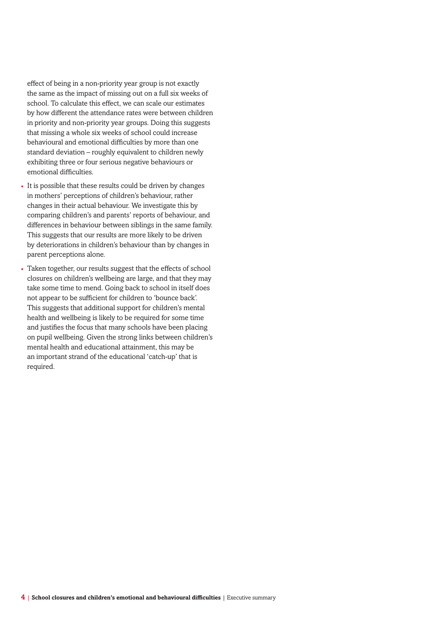effect of being in a non-priority year group is not exactly the same as the impact of missing out on a full six weeks of school. To calculate this effect, we can scale our estimates by how different the attendance rates were between children in priority and non-priority year groups. Doing this suggests that missing a whole six weeks of school could increase behavioural and emotional difficulties by more than one standard deviation – roughly equivalent to children newly exhibiting three or four serious negative behaviours or emotional difficulties.

- It is possible that these results could be driven by changes in mothers' perceptions of children's behaviour, rather changes in their actual behaviour. We investigate this by comparing children's and parents' reports of behaviour, and differences in behaviour between siblings in the same family. This suggests that our results are more likely to be driven by deteriorations in children's behaviour than by changes in parent perceptions alone.
- Taken together, our results suggest that the effects of school closures on children's wellbeing are large, and that they may take some time to mend. Going back to school in itself does not appear to be sufficient for children to 'bounce back'. This suggests that additional support for children's mental health and wellbeing is likely to be required for some time and justifies the focus that many schools have been placing on pupil wellbeing. Given the strong links between children's mental health and educational attainment, this may be an important strand of the educational 'catch-up' that is required.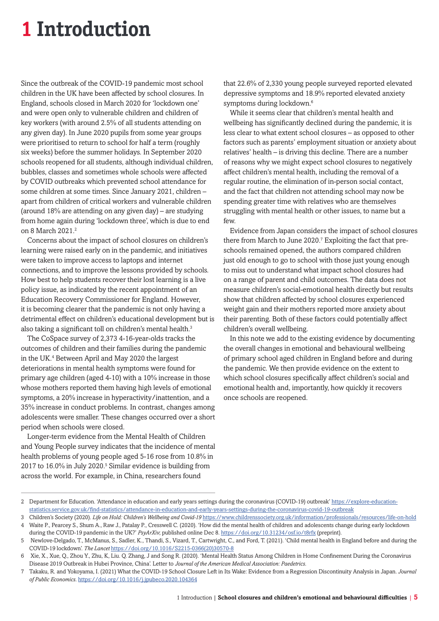## <span id="page-4-0"></span>**1 Introduction**

Since the outbreak of the COVID-19 pandemic most school children in the UK have been affected by school closures. In England, schools closed in March 2020 for 'lockdown one' and were open only to vulnerable children and children of key workers (with around 2.5% of all students attending on any given day). In June 2020 pupils from some year groups were prioritised to return to school for half a term (roughly six weeks) before the summer holidays. In September 2020 schools reopened for all students, although individual children, bubbles, classes and sometimes whole schools were affected by COVID outbreaks which prevented school attendance for some children at some times. Since January 2021, children – apart from children of critical workers and vulnerable children (around 18% are attending on any given day) – are studying from home again during 'lockdown three', which is due to end on 8 March 2021.2

Concerns about the impact of school closures on children's learning were raised early on in the pandemic, and initiatives were taken to improve access to laptops and internet connections, and to improve the lessons provided by schools. How best to help students recover their lost learning is a live policy issue, as indicated by the recent appointment of an Education Recovery Commissioner for England. However, it is becoming clearer that the pandemic is not only having a detrimental effect on children's educational development but is also taking a significant toll on children's mental health.<sup>3</sup>

The CoSpace survey of 2,373 4-16-year-olds tracks the outcomes of children and their families during the pandemic in the UK.4 Between April and May 2020 the largest deteriorations in mental health symptoms were found for primary age children (aged 4-10) with a 10% increase in those whose mothers reported them having high levels of emotional symptoms, a 20% increase in hyperactivity/inattention, and a 35% increase in conduct problems. In contrast, changes among adolescents were smaller. These changes occurred over a short period when schools were closed.

Longer-term evidence from the Mental Health of Children and Young People survey indicates that the incidence of mental health problems of young people aged 5-16 rose from 10.8% in 2017 to 16.0% in July 2020.<sup>5</sup> Similar evidence is building from across the world. For example, in China, researchers found

that 22.6% of 2,330 young people surveyed reported elevated depressive symptoms and 18.9% reported elevated anxiety symptoms during lockdown.<sup>6</sup>

While it seems clear that children's mental health and wellbeing has significantly declined during the pandemic, it is less clear to what extent school closures – as opposed to other factors such as parents' employment situation or anxiety about relatives' health – is driving this decline. There are a number of reasons why we might expect school closures to negatively affect children's mental health, including the removal of a regular routine, the elimination of in-person social contact, and the fact that children not attending school may now be spending greater time with relatives who are themselves struggling with mental health or other issues, to name but a few.

Evidence from Japan considers the impact of school closures there from March to June 2020.7 Exploiting the fact that preschools remained opened, the authors compared children just old enough to go to school with those just young enough to miss out to understand what impact school closures had on a range of parent and child outcomes. The data does not measure children's social-emotional health directly but results show that children affected by school closures experienced weight gain and their mothers reported more anxiety about their parenting. Both of these factors could potentially affect children's overall wellbeing.

In this note we add to the existing evidence by documenting the overall changes in emotional and behavioural wellbeing of primary school aged children in England before and during the pandemic. We then provide evidence on the extent to which school closures specifically affect children's social and emotional health and, importantly, how quickly it recovers once schools are reopened.

<sup>2</sup> Department for Education. 'Attendance in education and early years settings during the coronavirus (COVID-19) outbreak' [https://explore-education](https://explore-education-statistics.service.gov.uk/find-statistics/attendance-in-education-and-early-years-settings-during-the-coronavirus-covid-19-outbreak)[statistics.service.gov.uk/find-statistics/attendance-in-education-and-early-years-settings-during-the-coronavirus-covid-19-outbreak](https://explore-education-statistics.service.gov.uk/find-statistics/attendance-in-education-and-early-years-settings-during-the-coronavirus-covid-19-outbreak)

<sup>3</sup> Children's Society (2020). *Life on Hold: Children's Wellbeing and Covid-19* <https://www.childrenssociety.org.uk/information/professionals/resources/life-on-hold>

<sup>4</sup> Waite P., Pearcey S., Shum A., Raw J., Patalay P., Cresswell C. (2020). 'How did the mental health of children and adolescents change during early lockdown during the COVID-19 pandemic in the UK?' *PsyArXiv*; published online Dec 8.<https://doi.org/10.31234/osf.io/t8rfx> (preprint).

<sup>5</sup> Newlove-Delgado, T., McManus, S., Sadler, K., Thandi, S., Vizard, T., Cartwright, C., and Ford, T. (2021). 'Child mental health in England before and during the COVID-19 lockdown'. *The Lancet* [https://doi.org/10.1016/S2215-0366\(20\)30570-8](https://doi.org/10.1016/S2215-0366(20)30570-8)

<sup>6</sup> Xie, X., Xue, Q., Zhou Y., Zhu, K, Liu. Q. Zhang, J and Song R. (2020). 'Mental Health Status Among Children in Home Confinement During the Coronavirus Disease 2019 Outbreak in Hubei Province, China'. Letter to *Journal of the American Medical Association: Paedetrics*.

<sup>7</sup> Takaku, R. and Yokoyama, I. (2021) What the COVID-19 School Closure Left in Its Wake: Evidence from a Regression Discontinuity Analysis in Japan. *Journal of Public Economics*.<https://doi.org/10.1016/j.jpubeco.2020.104364>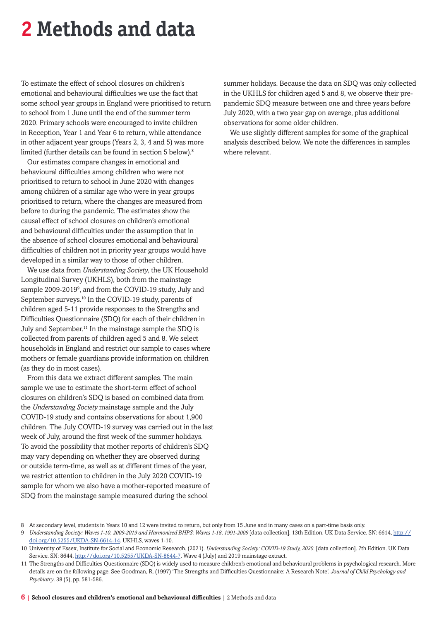## <span id="page-5-0"></span>**2 Methods and data**

To estimate the effect of school closures on children's emotional and behavioural difficulties we use the fact that some school year groups in England were prioritised to return to school from 1 June until the end of the summer term 2020. Primary schools were encouraged to invite children in Reception, Year 1 and Year 6 to return, while attendance in other adjacent year groups (Years 2, 3, 4 and 5) was more limited (further details can be found in section 5 below).<sup>8</sup>

Our estimates compare changes in emotional and behavioural difficulties among children who were not prioritised to return to school in June 2020 with changes among children of a similar age who were in year groups prioritised to return, where the changes are measured from before to during the pandemic. The estimates show the causal effect of school closures on children's emotional and behavioural difficulties under the assumption that in the absence of school closures emotional and behavioural difficulties of children not in priority year groups would have developed in a similar way to those of other children.

We use data from *Understanding Society*, the UK Household Longitudinal Survey (UKHLS), both from the mainstage sample 2009-2019<sup>9</sup>, and from the COVID-19 study, July and September surveys.<sup>10</sup> In the COVID-19 study, parents of children aged 5-11 provide responses to the Strengths and Difficulties Questionnaire (SDQ) for each of their children in July and September.<sup>11</sup> In the mainstage sample the SDO is collected from parents of children aged 5 and 8. We select households in England and restrict our sample to cases where mothers or female guardians provide information on children (as they do in most cases).

From this data we extract different samples. The main sample we use to estimate the short-term effect of school closures on children's SDQ is based on combined data from the *Understanding Society* mainstage sample and the July COVID-19 study and contains observations for about 1,900 children. The July COVID-19 survey was carried out in the last week of July, around the first week of the summer holidays. To avoid the possibility that mother reports of children's SDQ may vary depending on whether they are observed during or outside term-time, as well as at different times of the year, we restrict attention to children in the July 2020 COVID-19 sample for whom we also have a mother-reported measure of SDQ from the mainstage sample measured during the school

summer holidays. Because the data on SDQ was only collected in the UKHLS for children aged 5 and 8, we observe their prepandemic SDQ measure between one and three years before July 2020, with a two year gap on average, plus additional observations for some older children.

We use slightly different samples for some of the graphical analysis described below. We note the differences in samples where relevant.

<sup>8</sup> At secondary level, students in Years 10 and 12 were invited to return, but only from 15 June and in many cases on a part-time basis only.

<sup>9</sup> *Understanding Society: Waves 1-10, 2009-2019 and Harmonised BHPS: Waves 1-18, 1991-2009* [data collection]. 13th Edition. UK Data Service. SN: 6614, [http://](http://doi.org/10.5255/UKDA-SN-6614-14) [doi.org/10.5255/UKDA-SN-6614-14.](http://doi.org/10.5255/UKDA-SN-6614-14) UKHLS, waves 1-10.

<sup>10</sup> University of Essex, Institute for Social and Economic Research. (2021). *Understanding Society: COVID-19 Study, 2020.* [data collection]. 7th Edition. UK Data Service. SN: 8644, [http://doi.org/10.5255/UKDA-SN-8644-7.](http://doi.org/10.5255/UKDA-SN-8644-7) Wave 4 (July) and 2019 mainstage extract.

<sup>11</sup> The Strengths and Difficulties Questionnaire (SDQ) is widely used to measure children's emotional and behavioural problems in psychological research. More details are on the following page. See Goodman, R. (1997) 'The Strengths and Difficulties Questionnaire: A Research Note'. *Journal of Child Psychology and Psychiatry*. 38 (5), pp. 581-586.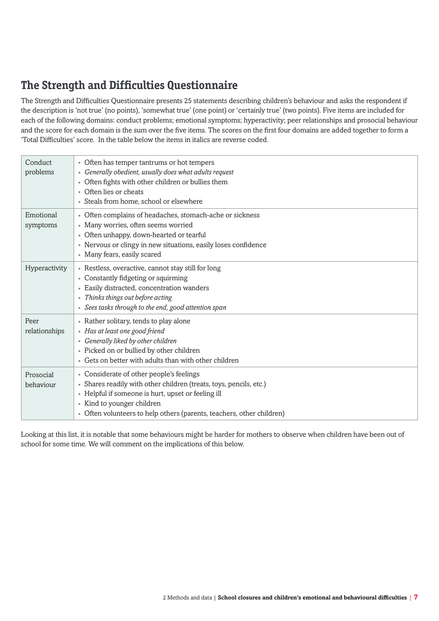### <span id="page-6-0"></span>**The Strength and Difficulties Questionnaire**

The Strength and Difficulties Questionnaire presents 25 statements describing children's behaviour and asks the respondent if the description is 'not true' (no points), 'somewhat true' (one point) or 'certainly true' (two points). Five items are included for each of the following domains: conduct problems; emotional symptoms; hyperactivity; peer relationships and prosocial behaviour and the score for each domain is the sum over the five items. The scores on the first four domains are added together to form a 'Total Difficulties' score. In the table below the items in italics are reverse coded.

| Conduct<br>problems    | • Often has temper tantrums or hot tempers<br>• Generally obedient, usually does what adults request<br>• Often fights with other children or bullies them<br>• Often lies or cheats<br>• Steals from home, school or elsewhere                                             |
|------------------------|-----------------------------------------------------------------------------------------------------------------------------------------------------------------------------------------------------------------------------------------------------------------------------|
| Emotional<br>symptoms  | • Often complains of headaches, stomach-ache or sickness<br>• Many worries, often seems worried<br>• Often unhappy, down-hearted or tearful<br>• Nervous or clingy in new situations, easily loses confidence<br>• Many fears, easily scared                                |
| Hyperactivity          | • Restless, overactive, cannot stay still for long<br>• Constantly fidgeting or squirming<br>• Easily distracted, concentration wanders<br>• Thinks things out before acting<br>• Sees tasks through to the end, good attention span                                        |
| Peer<br>relationships  | • Rather solitary, tends to play alone<br>• Has at least one good friend<br>• Generally liked by other children<br>• Picked on or bullied by other children<br>• Gets on better with adults than with other children                                                        |
| Prosocial<br>behaviour | • Considerate of other people's feelings<br>• Shares readily with other children (treats, toys, pencils, etc.)<br>• Helpful if someone is hurt, upset or feeling ill<br>• Kind to younger children<br>• Often volunteers to help others (parents, teachers, other children) |

Looking at this list, it is notable that some behaviours might be harder for mothers to observe when children have been out of school for some time. We will comment on the implications of this below.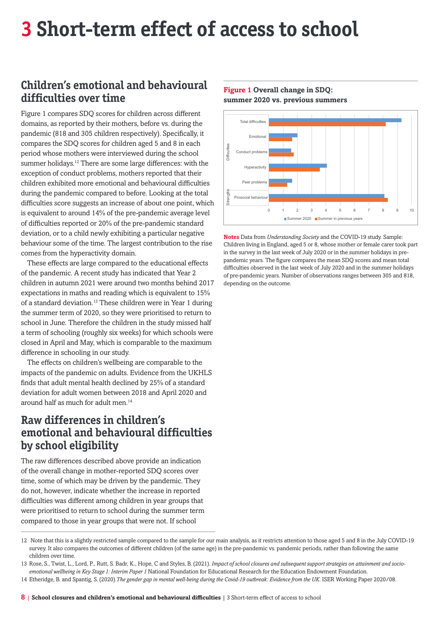## <span id="page-7-0"></span>**3 Short-term effect of access to school**

### **Children's emotional and behavioural difficulties over time**

Figure 1 compares SDQ scores for children across different domains, as reported by their mothers, before vs. during the pandemic (818 and 305 children respectively). Specifically, it compares the SDQ scores for children aged 5 and 8 in each period whose mothers were interviewed during the school summer holidays.<sup>12</sup> There are some large differences: with the exception of conduct problems, mothers reported that their children exhibited more emotional and behavioural difficulties during the pandemic compared to before. Looking at the total difficulties score suggests an increase of about one point, which is equivalent to around 14% of the pre-pandemic average level of difficulties reported or 20% of the pre-pandemic standard deviation, or to a child newly exhibiting a particular negative behaviour some of the time. The largest contribution to the rise comes from the hyperactivity domain.

These effects are large compared to the educational effects of the pandemic. A recent study has indicated that Year 2 children in autumn 2021 were around two months behind 2017 expectations in maths and reading which is equivalent to 15% of a standard deviation.13 These children were in Year 1 during the summer term of 2020, so they were prioritised to return to school in June. Therefore the children in the study missed half a term of schooling (roughly six weeks) for which schools were closed in April and May, which is comparable to the maximum difference in schooling in our study.

The effects on children's wellbeing are comparable to the impacts of the pandemic on adults. Evidence from the UKHLS finds that adult mental health declined by 25% of a standard deviation for adult women between 2018 and April 2020 and around half as much for adult men.<sup>14</sup>

### **Raw differences in children's emotional and behavioural difficulties by school eligibility**

The raw differences described above provide an indication of the overall change in mother-reported SDQ scores over time, some of which may be driven by the pandemic. They do not, however, indicate whether the increase in reported difficulties was different among children in year groups that were prioritised to return to school during the summer term compared to those in year groups that were not. If school

#### **Figure 1 Overall change in SDQ: summer 2020 vs. previous summers**



**Notes** Data from *Understanding Society* and the COVID-19 study. Sample: Children living in England, aged 5 or 8, whose mother or female carer took part in the survey in the last week of July 2020 or in the summer holidays in prepandemic years. The figure compares the mean SDQ scores and mean total difficulties observed in the last week of July 2020 and in the summer holidays of pre-pandemic years. Number of observations ranges between 305 and 818, depending on the outcome.

13 Rose, S., Twist, L., Lord, P., Rutt, S. Badr, K., Hope, C and Styles, B. (2021). *Impact of school closures and subsequent support strategies on attainment and socioemotional wellbeing in Key Stage 1: Interim Paper 1* National Foundation for Educational Research for the Education Endowment Foundation.

<sup>12</sup> Note that this is a slightly restricted sample compared to the sample for our main analysis, as it restricts attention to those aged 5 and 8 in the July COVID-19 survey. It also compares the outcomes of different children (of the same age) in the pre-pandemic vs. pandemic periods, rather than following the same children over time.

<sup>14</sup> Etheridge, B. and Spantig, S. (2020).*The gender gap in mental well-being during the Covid-19 outbreak: Evidence from the UK*. ISER Working Paper 2020/08.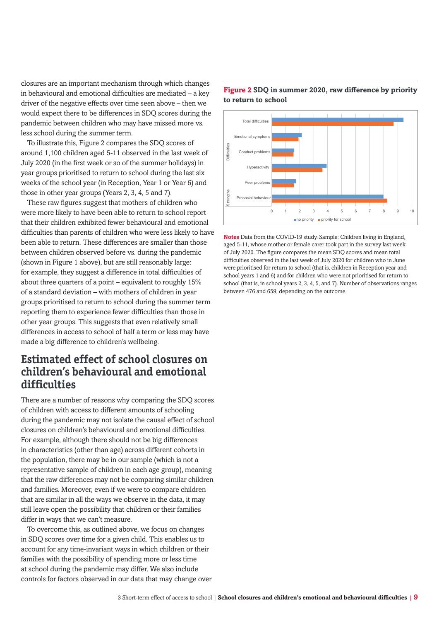<span id="page-8-0"></span>closures are an important mechanism through which changes in behavioural and emotional difficulties are mediated – a key driver of the negative effects over time seen above – then we would expect there to be differences in SDQ scores during the pandemic between children who may have missed more vs. less school during the summer term.

To illustrate this, Figure 2 compares the SDQ scores of around 1,100 children aged 5-11 observed in the last week of July 2020 (in the first week or so of the summer holidays) in year groups prioritised to return to school during the last six weeks of the school year (in Reception, Year 1 or Year 6) and those in other year groups (Years 2, 3, 4, 5 and 7).

These raw figures suggest that mothers of children who were more likely to have been able to return to school report that their children exhibited fewer behavioural and emotional difficulties than parents of children who were less likely to have been able to return. These differences are smaller than those between children observed before vs. during the pandemic (shown in Figure 1 above), but are still reasonably large: for example, they suggest a difference in total difficulties of about three quarters of a point – equivalent to roughly 15% of a standard deviation – with mothers of children in year groups prioritised to return to school during the summer term reporting them to experience fewer difficulties than those in other year groups. This suggests that even relatively small differences in access to school of half a term or less may have made a big difference to children's wellbeing.

### **Estimated effect of school closures on children's behavioural and emotional difficulties**

There are a number of reasons why comparing the SDQ scores of children with access to different amounts of schooling during the pandemic may not isolate the causal effect of school closures on children's behavioural and emotional difficulties. For example, although there should not be big differences in characteristics (other than age) across different cohorts in the population, there may be in our sample (which is not a representative sample of children in each age group), meaning that the raw differences may not be comparing similar children and families. Moreover, even if we were to compare children that are similar in all the ways we observe in the data, it may still leave open the possibility that children or their families differ in ways that we can't measure.

To overcome this, as outlined above, we focus on changes in SDQ scores over time for a given child. This enables us to account for any time-invariant ways in which children or their families with the possibility of spending more or less time at school during the pandemic may differ. We also include controls for factors observed in our data that may change over

#### **Figure 2 SDQ in summer 2020, raw difference by priority to return to school**



**Notes** Data from the COVID-19 study. Sample: Children living in England, aged 5-11, whose mother or female carer took part in the survey last week of July 2020. The figure compares the mean SDQ scores and mean total difficulties observed in the last week of July 2020 for children who in June were prioritised for return to school (that is, children in Reception year and school years 1 and 6) and for children who were not prioritised for return to school (that is, in school years 2, 3, 4, 5, and 7). Number of observations ranges between 476 and 659, depending on the outcome.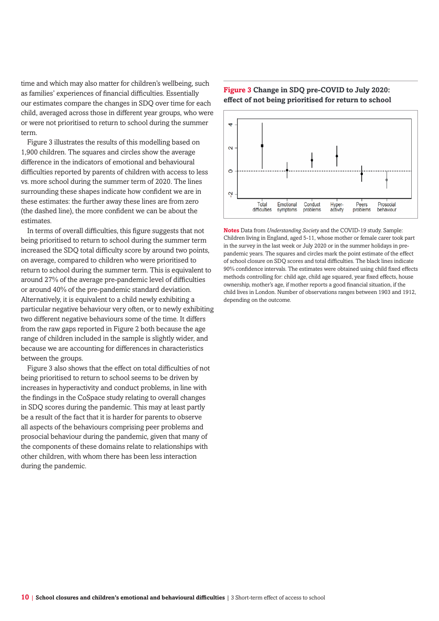time and which may also matter for children's wellbeing, such as families' experiences of financial difficulties. Essentially our estimates compare the changes in SDQ over time for each child, averaged across those in different year groups, who were or were not prioritised to return to school during the summer term.

Figure 3 illustrates the results of this modelling based on 1,900 children. The squares and circles show the average difference in the indicators of emotional and behavioural difficulties reported by parents of children with access to less vs. more school during the summer term of 2020. The lines surrounding these shapes indicate how confident we are in these estimates: the further away these lines are from zero (the dashed line), the more confident we can be about the estimates.

In terms of overall difficulties, this figure suggests that not being prioritised to return to school during the summer term increased the SDQ total difficulty score by around two points, on average, compared to children who were prioritised to return to school during the summer term. This is equivalent to around 27% of the average pre-pandemic level of difficulties or around 40% of the pre-pandemic standard deviation. Alternatively, it is equivalent to a child newly exhibiting a particular negative behaviour very often, or to newly exhibiting two different negative behaviours some of the time. It differs from the raw gaps reported in Figure 2 both because the age range of children included in the sample is slightly wider, and because we are accounting for differences in characteristics between the groups.

Figure 3 also shows that the effect on total difficulties of not being prioritised to return to school seems to be driven by increases in hyperactivity and conduct problems, in line with the findings in the CoSpace study relating to overall changes in SDQ scores during the pandemic. This may at least partly be a result of the fact that it is harder for parents to observe all aspects of the behaviours comprising peer problems and prosocial behaviour during the pandemic, given that many of the components of these domains relate to relationships with other children, with whom there has been less interaction during the pandemic.

#### **Figure 3 Change in SDQ pre-COVID to July 2020: effect of not being prioritised for return to school**



**Notes** Data from *Understanding Society* and the COVID-19 study. Sample: Children living in England, aged 5-11, whose mother or female carer took part in the survey in the last week or July 2020 or in the summer holidays in prepandemic years. The squares and circles mark the point estimate of the effect of school closure on SDQ scores and total difficulties. The black lines indicate 90% confidence intervals. The estimates were obtained using child fixed effects methods controlling for: child age, child age squared, year fixed effects, house ownership, mother's age, if mother reports a good financial situation, if the child lives in London. Number of observations ranges between 1903 and 1912, depending on the outcome.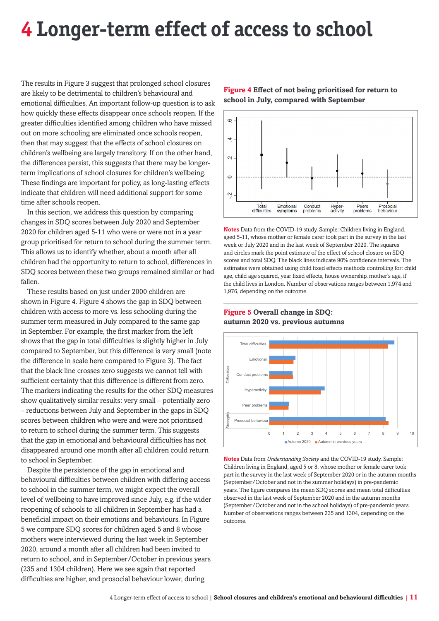## <span id="page-10-0"></span>**4 Longer-term effect of access to school**

The results in Figure 3 suggest that prolonged school closures are likely to be detrimental to children's behavioural and emotional difficulties. An important follow-up question is to ask how quickly these effects disappear once schools reopen. If the greater difficulties identified among children who have missed out on more schooling are eliminated once schools reopen, then that may suggest that the effects of school closures on children's wellbeing are largely transitory. If on the other hand, the differences persist, this suggests that there may be longerterm implications of school closures for children's wellbeing. These findings are important for policy, as long-lasting effects indicate that children will need additional support for some time after schools reopen.

In this section, we address this question by comparing changes in SDQ scores between July 2020 and September 2020 for children aged 5-11 who were or were not in a year group prioritised for return to school during the summer term. This allows us to identify whether, about a month after all children had the opportunity to return to school, differences in SDQ scores between these two groups remained similar or had fallen.

These results based on just under 2000 children are shown in Figure 4. Figure 4 shows the gap in SDQ between children with access to more vs. less schooling during the summer term measured in July compared to the same gap in September. For example, the first marker from the left shows that the gap in total difficulties is slightly higher in July compared to September, but this difference is very small (note the difference in scale here compared to Figure 3). The fact that the black line crosses zero suggests we cannot tell with sufficient certainty that this difference is different from zero. The markers indicating the results for the other SDQ measures show qualitatively similar results: very small – potentially zero – reductions between July and September in the gaps in SDQ scores between children who were and were not prioritised to return to school during the summer term. This suggests that the gap in emotional and behavioural difficulties has not disappeared around one month after all children could return to school in September.

Despite the persistence of the gap in emotional and behavioural difficulties between children with differing access to school in the summer term, we might expect the overall level of wellbeing to have improved since July, e.g. if the wider reopening of schools to all children in September has had a beneficial impact on their emotions and behaviours. In Figure 5 we compare SDQ scores for children aged 5 and 8 whose mothers were interviewed during the last week in September 2020, around a month after all children had been invited to return to school, and in September/October in previous years (235 and 1304 children). Here we see again that reported difficulties are higher, and prosocial behaviour lower, during



**Figure 4 Effect of not being prioritised for return to school in July, compared with September**

**Notes** Data from the COVID-19 study. Sample: Children living in England, aged 5-11, whose mother or female carer took part in the survey in the last week or July 2020 and in the last week of September 2020. The squares and circles mark the point estimate of the effect of school closure on SDQ scores and total SDQ. The black lines indicate 90% confidence intervals. The estimates were obtained using child fixed effects methods controlling for: child age, child age squared, year fixed effects, house ownership, mother's age, if the child lives in London. Number of observations ranges between 1,974 and 1,976, depending on the outcome.

#### **Figure 5 Overall change in SDQ: autumn 2020 vs. previous autumns**



**Notes** Data from *Understanding Society* and the COVID-19 study. Sample: Children living in England, aged 5 or 8, whose mother or female carer took part in the survey in the last week of September 2020 or in the autumn months (September/October and not in the summer holidays) in pre-pandemic years. The figure compares the mean SDQ scores and mean total difficulties observed in the last week of September 2020 and in the autumn months (September/October and not in the school holidays) of pre-pandemic years. Number of observations ranges between 235 and 1304, depending on the outcome.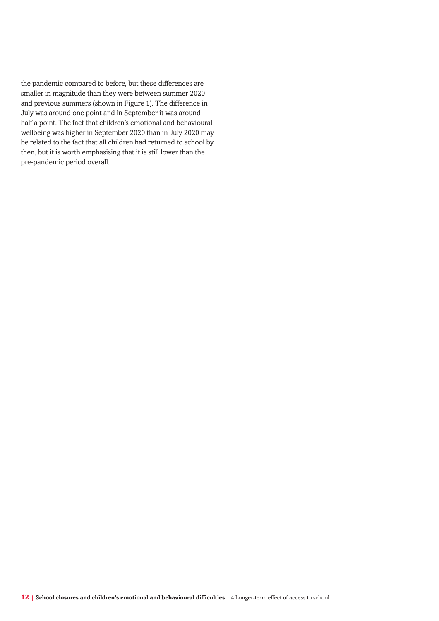the pandemic compared to before, but these differences are smaller in magnitude than they were between summer 2020 and previous summers (shown in Figure 1). The difference in July was around one point and in September it was around half a point. The fact that children's emotional and behavioural wellbeing was higher in September 2020 than in July 2020 may be related to the fact that all children had returned to school by then, but it is worth emphasising that it is still lower than the pre-pandemic period overall.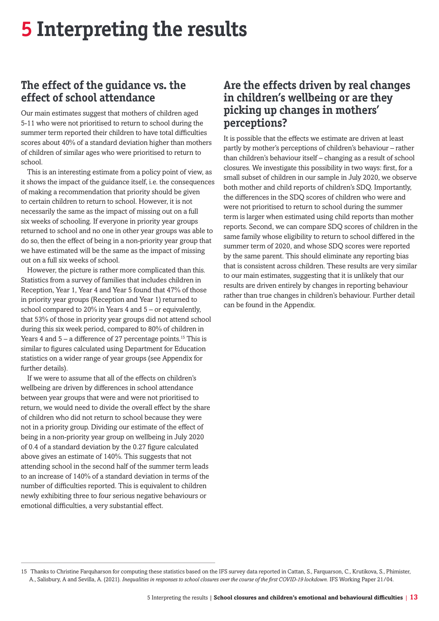## <span id="page-12-0"></span>**5 Interpreting the results**

### **The effect of the guidance vs. the effect of school attendance**

Our main estimates suggest that mothers of children aged 5-11 who were not prioritised to return to school during the summer term reported their children to have total difficulties scores about 40% of a standard deviation higher than mothers of children of similar ages who were prioritised to return to school.

This is an interesting estimate from a policy point of view, as it shows the impact of the guidance itself, i.e. the consequences of making a recommendation that priority should be given to certain children to return to school. However, it is not necessarily the same as the impact of missing out on a full six weeks of schooling. If everyone in priority year groups returned to school and no one in other year groups was able to do so, then the effect of being in a non-priority year group that we have estimated will be the same as the impact of missing out on a full six weeks of school.

However, the picture is rather more complicated than this. Statistics from a survey of families that includes children in Reception, Year 1, Year 4 and Year 5 found that 47% of those in priority year groups (Reception and Year 1) returned to school compared to 20% in Years 4 and 5 – or equivalently, that 53% of those in priority year groups did not attend school during this six week period, compared to 80% of children in Years 4 and  $5 - a$  difference of 27 percentage points.<sup>15</sup> This is similar to figures calculated using Department for Education statistics on a wider range of year groups (see Appendix for further details).

If we were to assume that all of the effects on children's wellbeing are driven by differences in school attendance between year groups that were and were not prioritised to return, we would need to divide the overall effect by the share of children who did not return to school because they were not in a priority group. Dividing our estimate of the effect of being in a non-priority year group on wellbeing in July 2020 of 0.4 of a standard deviation by the 0.27 figure calculated above gives an estimate of 140%. This suggests that not attending school in the second half of the summer term leads to an increase of 140% of a standard deviation in terms of the number of difficulties reported. This is equivalent to children newly exhibiting three to four serious negative behaviours or emotional difficulties, a very substantial effect.

### **Are the effects driven by real changes in children's wellbeing or are they picking up changes in mothers' perceptions?**

It is possible that the effects we estimate are driven at least partly by mother's perceptions of children's behaviour – rather than children's behaviour itself – changing as a result of school closures. We investigate this possibility in two ways: first, for a small subset of children in our sample in July 2020, we observe both mother and child reports of children's SDQ. Importantly, the differences in the SDQ scores of children who were and were not prioritised to return to school during the summer term is larger when estimated using child reports than mother reports. Second, we can compare SDQ scores of children in the same family whose eligibility to return to school differed in the summer term of 2020, and whose SDQ scores were reported by the same parent. This should eliminate any reporting bias that is consistent across children. These results are very similar to our main estimates, suggesting that it is unlikely that our results are driven entirely by changes in reporting behaviour rather than true changes in children's behaviour. Further detail can be found in the Appendix.

<sup>15</sup> Thanks to Christine Farquharson for computing these statistics based on the IFS survey data reported in Cattan, S., Farquarson, C., Krutikova, S., Phimister, A., Salisbury, A and Sevilla, A. (2021). *Inequalities in responses to school closures over the course of the first COVID-19 lockdown.* IFS Working Paper 21/04.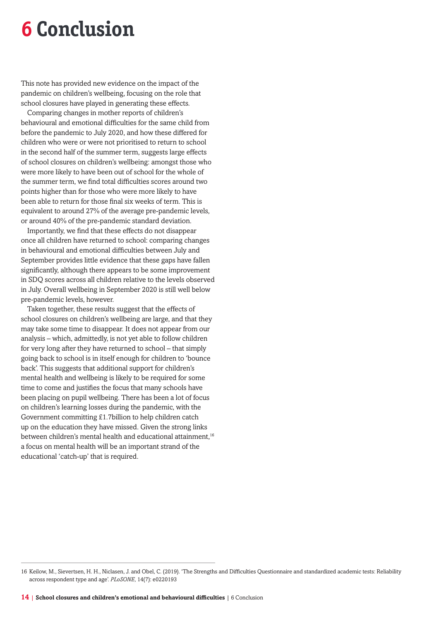## <span id="page-13-0"></span>**6 Conclusion**

This note has provided new evidence on the impact of the pandemic on children's wellbeing, focusing on the role that school closures have played in generating these effects.

Comparing changes in mother reports of children's behavioural and emotional difficulties for the same child from before the pandemic to July 2020, and how these differed for children who were or were not prioritised to return to school in the second half of the summer term, suggests large effects of school closures on children's wellbeing: amongst those who were more likely to have been out of school for the whole of the summer term, we find total difficulties scores around two points higher than for those who were more likely to have been able to return for those final six weeks of term. This is equivalent to around 27% of the average pre-pandemic levels, or around 40% of the pre-pandemic standard deviation.

Importantly, we find that these effects do not disappear once all children have returned to school: comparing changes in behavioural and emotional difficulties between July and September provides little evidence that these gaps have fallen significantly, although there appears to be some improvement in SDQ scores across all children relative to the levels observed in July. Overall wellbeing in September 2020 is still well below pre-pandemic levels, however.

Taken together, these results suggest that the effects of school closures on children's wellbeing are large, and that they may take some time to disappear. It does not appear from our analysis – which, admittedly, is not yet able to follow children for very long after they have returned to school – that simply going back to school is in itself enough for children to 'bounce back'. This suggests that additional support for children's mental health and wellbeing is likely to be required for some time to come and justifies the focus that many schools have been placing on pupil wellbeing. There has been a lot of focus on children's learning losses during the pandemic, with the Government committing £1.7billion to help children catch up on the education they have missed. Given the strong links between children's mental health and educational attainment.<sup>16</sup> a focus on mental health will be an important strand of the educational 'catch-up' that is required.

<sup>16</sup> Keilow, M., Sievertsen, H. H., Niclasen, J. and Obel, C. (2019). 'The Strengths and Difficulties Questionnaire and standardized academic tests: Reliability across respondent type and age'. *PLoSONE*, 14(7): e0220193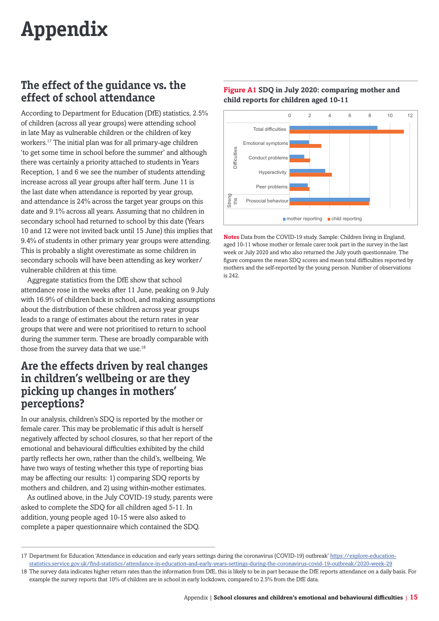## <span id="page-14-0"></span>**Appendix**

### **The effect of the guidance vs. the effect of school attendance**

According to Department for Education (DfE) statistics, 2.5% of children (across all year groups) were attending school in late May as vulnerable children or the children of key workers.17 The initial plan was for all primary-age children 'to get some time in school before the summer' and although there was certainly a priority attached to students in Years Reception, 1 and 6 we see the number of students attending increase across all year groups after half term. June 11 is the last date when attendance is reported by year group, and attendance is 24% across the target year groups on this date and 9.1% across all years. Assuming that no children in secondary school had returned to school by this date (Years 10 and 12 were not invited back until 15 June) this implies that 9.4% of students in other primary year groups were attending. This is probably a slight overestimate as some children in secondary schools will have been attending as key worker/ vulnerable children at this time.

Aggregate statistics from the DfE show that school attendance rose in the weeks after 11 June, peaking on 9 July with 16.9% of children back in school, and making assumptions about the distribution of these children across year groups leads to a range of estimates about the return rates in year groups that were and were not prioritised to return to school during the summer term. These are broadly comparable with those from the survey data that we use.<sup>18</sup>

### **Are the effects driven by real changes in children's wellbeing or are they picking up changes in mothers' perceptions?**

In our analysis, children's SDQ is reported by the mother or female carer. This may be problematic if this adult is herself negatively affected by school closures, so that her report of the emotional and behavioural difficulties exhibited by the child partly reflects her own, rather than the child's, wellbeing. We have two ways of testing whether this type of reporting bias may be affecting our results: 1) comparing SDQ reports by mothers and children, and 2) using within-mother estimates.

As outlined above, in the July COVID-19 study, parents were asked to complete the SDQ for all children aged 5-11. In addition, young people aged 10-15 were also asked to complete a paper questionnaire which contained the SDQ.

#### **Figure A1 SDQ in July 2020: comparing mother and child reports for children aged 10-11**



**Notes** Data from the COVID-19 study. Sample: Children living in England, aged 10-11 whose mother or female carer took part in the survey in the last week or July 2020 and who also returned the July youth questionnaire. The figure compares the mean SDQ scores and mean total difficulties reported by mothers and the self-reported by the young person. Number of observations is 242.

<sup>17</sup> Department for Education 'Attendance in education and early years settings during the coronavirus (COVID-19) outbreak' [https://explore-education](https://explore-education-statistics.service.gov.uk/find-statistics/attendance-in-education-and-early-years-settings-during-the-coronavirus-covid-19-outbreak/2020-week-29)[statistics.service.gov.uk/find-statistics/attendance-in-education-and-early-years-settings-during-the-coronavirus-covid-19-outbreak/2020-week-29](https://explore-education-statistics.service.gov.uk/find-statistics/attendance-in-education-and-early-years-settings-during-the-coronavirus-covid-19-outbreak/2020-week-29)

<sup>18</sup> The survey data indicates higher return rates than the information from DfE, this is likely to be in part because the DfE reports attendance on a daily basis. For example the survey reports that 10% of children are in school in early lockdown, compared to 2.5% from the DfE data.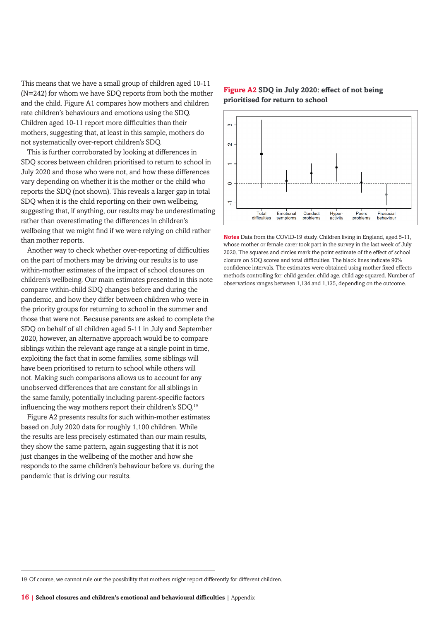This means that we have a small group of children aged 10-11 (N=242) for whom we have SDQ reports from both the mother and the child. Figure A1 compares how mothers and children rate children's behaviours and emotions using the SDQ. Children aged 10-11 report more difficulties than their mothers, suggesting that, at least in this sample, mothers do not systematically over-report children's SDQ.

This is further corroborated by looking at differences in SDQ scores between children prioritised to return to school in July 2020 and those who were not, and how these differences vary depending on whether it is the mother or the child who reports the SDQ (not shown). This reveals a larger gap in total SDQ when it is the child reporting on their own wellbeing, suggesting that, if anything, our results may be underestimating rather than overestimating the differences in children's wellbeing that we might find if we were relying on child rather than mother reports.

Another way to check whether over-reporting of difficulties on the part of mothers may be driving our results is to use within-mother estimates of the impact of school closures on children's wellbeing. Our main estimates presented in this note compare within-child SDQ changes before and during the pandemic, and how they differ between children who were in the priority groups for returning to school in the summer and those that were not. Because parents are asked to complete the SDQ on behalf of all children aged 5-11 in July and September 2020, however, an alternative approach would be to compare siblings within the relevant age range at a single point in time, exploiting the fact that in some families, some siblings will have been prioritised to return to school while others will not. Making such comparisons allows us to account for any unobserved differences that are constant for all siblings in the same family, potentially including parent-specific factors influencing the way mothers report their children's SDQ.19

Figure A2 presents results for such within-mother estimates based on July 2020 data for roughly 1,100 children. While the results are less precisely estimated than our main results, they show the same pattern, again suggesting that it is not just changes in the wellbeing of the mother and how she responds to the same children's behaviour before vs. during the pandemic that is driving our results.

#### **Figure A2 SDQ in July 2020: effect of not being prioritised for return to school**



**Notes** Data from the COVID-19 study. Children living in England, aged 5-11, whose mother or female carer took part in the survey in the last week of July 2020. The squares and circles mark the point estimate of the effect of school closure on SDQ scores and total difficulties. The black lines indicate 90% confidence intervals. The estimates were obtained using mother fixed effects methods controlling for: child gender, child age, child age squared. Number of observations ranges between 1,134 and 1,135, depending on the outcome.

<sup>19</sup> Of course, we cannot rule out the possibility that mothers might report differently for different children.